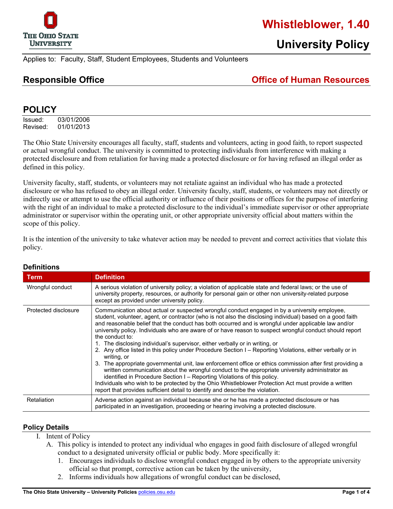

# **Whistleblower, 1.40**

Applies to: Faculty, Staff, Student Employees, Students and Volunteers

**Responsible Office Office of Human Resources** 

## **POLICY**

Issued: 03/01/2006 Revised: 01/01/2013

The Ohio State University encourages all faculty, staff, students and volunteers, acting in good faith, to report suspected or actual wrongful conduct. The university is committed to protecting individuals from interference with making a protected disclosure and from retaliation for having made a protected disclosure or for having refused an illegal order as defined in this policy.

University faculty, staff, students, or volunteers may not retaliate against an individual who has made a protected disclosure or who has refused to obey an illegal order. University faculty, staff, students, or volunteers may not directly or indirectly use or attempt to use the official authority or influence of their positions or offices for the purpose of interfering with the right of an individual to make a protected disclosure to the individual's immediate supervisor or other appropriate administrator or supervisor within the operating unit, or other appropriate university official about matters within the scope of this policy.

It is the intention of the university to take whatever action may be needed to prevent and correct activities that violate this policy.

| Term                 | <b>Definition</b>                                                                                                                                                                                                                                                                                                                                                                                                                                                                                                                                                                                                                                                                                                                                                                                                                                                                                                                                                                                                                                                                                                                                      |
|----------------------|--------------------------------------------------------------------------------------------------------------------------------------------------------------------------------------------------------------------------------------------------------------------------------------------------------------------------------------------------------------------------------------------------------------------------------------------------------------------------------------------------------------------------------------------------------------------------------------------------------------------------------------------------------------------------------------------------------------------------------------------------------------------------------------------------------------------------------------------------------------------------------------------------------------------------------------------------------------------------------------------------------------------------------------------------------------------------------------------------------------------------------------------------------|
| Wrongful conduct     | A serious violation of university policy; a violation of applicable state and federal laws; or the use of<br>university property, resources, or authority for personal gain or other non university-related purpose<br>except as provided under university policy.                                                                                                                                                                                                                                                                                                                                                                                                                                                                                                                                                                                                                                                                                                                                                                                                                                                                                     |
| Protected disclosure | Communication about actual or suspected wrongful conduct engaged in by a university employee,<br>student, volunteer, agent, or contractor (who is not also the disclosing individual) based on a good faith<br>and reasonable belief that the conduct has both occurred and is wrongful under applicable law and/or<br>university policy. Individuals who are aware of or have reason to suspect wrongful conduct should report<br>the conduct to:<br>1. The disclosing individual's supervisor, either verbally or in writing, or<br>2. Any office listed in this policy under Procedure Section I - Reporting Violations, either verbally or in<br>writing, or<br>3. The appropriate governmental unit, law enforcement office or ethics commission after first providing a<br>written communication about the wrongful conduct to the appropriate university administrator as<br>identified in Procedure Section I - Reporting Violations of this policy.<br>Individuals who wish to be protected by the Ohio Whistleblower Protection Act must provide a written<br>report that provides sufficient detail to identify and describe the violation. |
| Retaliation          | Adverse action against an individual because she or he has made a protected disclosure or has<br>participated in an investigation, proceeding or hearing involving a protected disclosure.                                                                                                                                                                                                                                                                                                                                                                                                                                                                                                                                                                                                                                                                                                                                                                                                                                                                                                                                                             |

#### **Definitions**

#### **Policy Details**

- I. Intent of Policy
	- A. This policy is intended to protect any individual who engages in good faith disclosure of alleged wrongful conduct to a designated university official or public body. More specifically it:
		- 1. Encourages individuals to disclose wrongful conduct engaged in by others to the appropriate university official so that prompt, corrective action can be taken by the university,
		- 2. Informs individuals how allegations of wrongful conduct can be disclosed,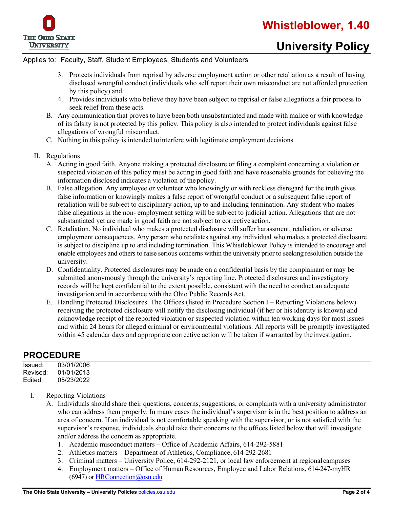

#### Applies to: Faculty, Staff, Student Employees, Students and Volunteers

- 3. Protects individuals from reprisal by adverse employment action or other retaliation as a result of having disclosed wrongful conduct (individuals who self report their own misconduct are not afforded protection by this policy) and
- 4. Provides individuals who believe they have been subject to reprisal or false allegations a fair process to seek relief from these acts.
- B. Any communication that proves to have been both unsubstantiated and made with malice or with knowledge of its falsity is not protected by this policy. This policy is also intended to protect individuals against false allegations of wrongful misconduct.
- C. Nothing in this policy is intended tointerfere with legitimate employment decisions.
- II. Regulations
	- A. Acting in good faith. Anyone making a protected disclosure or filing a complaint concerning a violation or suspected violation of this policy must be acting in good faith and have reasonable grounds for believing the information disclosed indicates a violation of the policy.
	- B. False allegation. Any employee or volunteer who knowingly or with reckless disregard for the truth gives false information or knowingly makes a false report of wrongful conduct or a subsequent false report of retaliation will be subject to disciplinary action, up to and including termination. Any student who makes false allegations in the non- employment setting will be subject to judicial action. Allegations that are not substantiated yet are made in good faith are not subject to corrective action.
	- C. Retaliation. No individual who makes a protected disclosure will suffer harassment, retaliation, or adverse employment consequences. Any person who retaliates against any individual who makes a protected disclosure is subject to discipline up to and including termination. This Whistleblower Policy is intended to encourage and enable employees and others to raise serious concerns within the university prior to seeking resolution outside the university.
	- D. Confidentiality. Protected disclosures may be made on a confidential basis by the complainant or may be submitted anonymously through the university's reporting line. Protected disclosures and investigatory records will be kept confidential to the extent possible, consistent with the need to conduct an adequate investigation and in accordance with the Ohio Public Records Act.
	- E. Handling Protected Disclosures. The Offices (listed in Procedure Section I Reporting Violations below) receiving the protected disclosure will notify the disclosing individual (if her or his identity is known) and acknowledge receipt of the reported violation or suspected violation within ten working days for most issues and within 24 hours for alleged criminal or environmental violations. All reports will be promptly investigated within 45 calendar days and appropriate corrective action will be taken if warranted by the investigation.

# **PROCEDURE**

| Issued:  | 03/01/2006 |
|----------|------------|
| Revised: | 01/01/2013 |
| Edited:  | 05/23/2022 |

- I. Reporting Violations
	- A. Individuals should share their questions, concerns, suggestions, or complaints with a university administrator who can address them properly. In many cases the individual's supervisor is in the best position to address an area of concern. If an individual is not comfortable speaking with the supervisor, or is not satisfied with the supervisor's response, individuals should take their concerns to the offices listed below that will investigate and/or address the concern as appropriate.
		- 1. Academic misconduct matters Office of Academic Affairs, 614-292-5881
		- 2. Athletics matters Department of Athletics, Compliance, 614-292-2681
		- 3. Criminal matters University Police, 614-292-2121, or local law enforcement at regionalcampuses
		- 4. Employment matters Office of Human Resources, Employee and Labor Relations, 614-247-myHR (6947) or [HRConnection@osu.edu](mailto:HRConnection@osu.edu)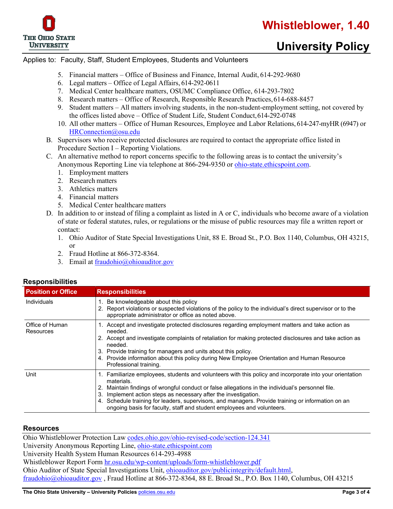

# **University Policy**

#### Applies to: Faculty, Staff, Student Employees, Students and Volunteers

- 5. Financial matters Office of Business and Finance, Internal Audit, 614-292-9680
- 6. Legal matters Office of Legal Affairs, 614-292-0611
- 7. Medical Center healthcare matters, OSUMC Compliance Office, 614-293-7802
- 8. Research matters Office of Research, Responsible Research Practices,614-688-8457
- 9. Student matters All matters involving students, in the non-student-employment setting, not covered by the offices listed above – Office of Student Life, Student Conduct,614-292-0748
- 10. All other matters Office of Human Resources, Employee and Labor Relations, 614-247-myHR (6947) or [HRConnection@osu.edu](mailto:HRConnection@osu.edu)
- B. Supervisors who receive protected disclosures are required to contact the appropriate office listed in Procedure Section I – Reporting Violations.
- C. An alternative method to report concerns specific to the following areas is to contact the university's Anonymous Reporting Line via telephone at 866-294-9350 or [ohio-state.ethicspoint.com.](https://ohio-state.ethicspoint.com/)
	- 1. Employment matters
	- 2. Research matters
	- 3. Athletics matters
	- 4. Financial matters
	- 5. Medical Center healthcare matters
- D. In addition to or instead of filing a complaint as listed in A or C, individuals who become aware of a violation of state or federal statutes, rules, or regulations or the misuse of public resources may file a written report or contact:
	- 1. Ohio Auditor of State Special Investigations Unit, 88 E. Broad St., P.O. Box 1140, Columbus, OH 43215, or
	- 2. Fraud Hotline at 866-372-8364.
	- 3. Email at [fraudohio@ohioauditor.gov](mailto:fraudohio@ohioauditor.gov)

| <b>Position or Office</b>    | <b>Responsibilities</b>                                                                                                                                                                                                                                                                                                                                                                                                                                                           |  |
|------------------------------|-----------------------------------------------------------------------------------------------------------------------------------------------------------------------------------------------------------------------------------------------------------------------------------------------------------------------------------------------------------------------------------------------------------------------------------------------------------------------------------|--|
| <b>Individuals</b>           | Be knowledgeable about this policy<br>2. Report violations or suspected violations of the policy to the individual's direct supervisor or to the<br>appropriate administrator or office as noted above.                                                                                                                                                                                                                                                                           |  |
| Office of Human<br>Resources | 1. Accept and investigate protected disclosures regarding employment matters and take action as<br>needed.<br>2. Accept and investigate complaints of retaliation for making protected disclosures and take action as<br>needed.<br>3. Provide training for managers and units about this policy.<br>4. Provide information about this policy during New Employee Orientation and Human Resource<br>Professional training.                                                        |  |
| Unit                         | 1. Familiarize employees, students and volunteers with this policy and incorporate into your orientation<br>materials.<br>2. Maintain findings of wrongful conduct or false allegations in the individual's personnel file.<br>Implement action steps as necessary after the investigation.<br>3.<br>4. Schedule training for leaders, supervisors, and managers. Provide training or information on an<br>ongoing basis for faculty, staff and student employees and volunteers. |  |

### **Responsibilities**

#### **Resources**

Ohio Whistleblower Protection Law [codes.ohio.gov/ohio-revised-code/section-124.341](https://codes.ohio.gov/ohio-revised-code/section-124.341) University Anonymous Reporting Line, [ohio-state.ethicspoint.com](https://ohio-state.ethicspoint.com/) University Health System Human Resources 614-293-4988 Whistleblower Report Form [hr.osu.edu/wp-content/uploads/form-whistleblower.pdf](https://hr.osu.edu/wp-content/uploads/form-whistleblower.pdf) Ohio Auditor of State Special Investigations Unit, *ohioauditor.gov/publicintegrity/default.html*, [fraudohio@ohioauditor.gov](mailto:fraudohio@ohioauditor.gov) , Fraud Hotline at 866-372-8364, 88 E. Broad St., P.O. Box 1140, Columbus, OH 43215